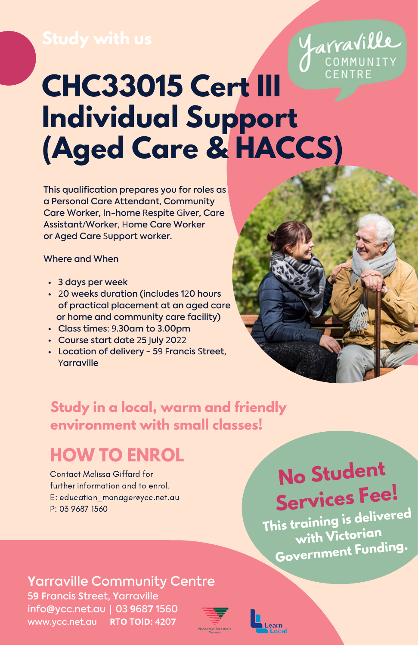## COMMUNITY CENTRE **CHC33015 Cert III Individual Support (Aged Care & HACCS)**

This qualification prepares you for roles as a Personal Care Attendant, Community Care Worker, In-home Respite Giver, Care Assistant/Worker, Home Care Worker or Aged Care Support worker.

### Where and When

- 3 days per week
- 20 weeks duration (includes 120 hours of practical placement at an aged care or home and community care facility)
- Class times: 9.30am to 3.00pm
- Course start date 25 July 2022
- Location of delivery 59 Francis Street, Yarraville



*arraville* 

### **Study in a local, warm and friendly environment with small classes!**

## **HOW TO ENROL**

Contact Melissa Giffard for further information and to enrol. E: [education\\_manager@ycc.net.au](mailto:Education_Manager@ycc.net.au) P: 03 9687 1560

# **No Student Services Fee!**

**This training is delivered with Victorian Government Funding.**

## **Yarraville Community Centre**

distancing while queuing. 5**9 F**rancis **S**treet, **Y**arraville info**@**ycc.net.au **|** 03 **9**68**7** 1560 www.ycc.net.au **R**T**O** T**O**I**D:** 4**2**0**7**